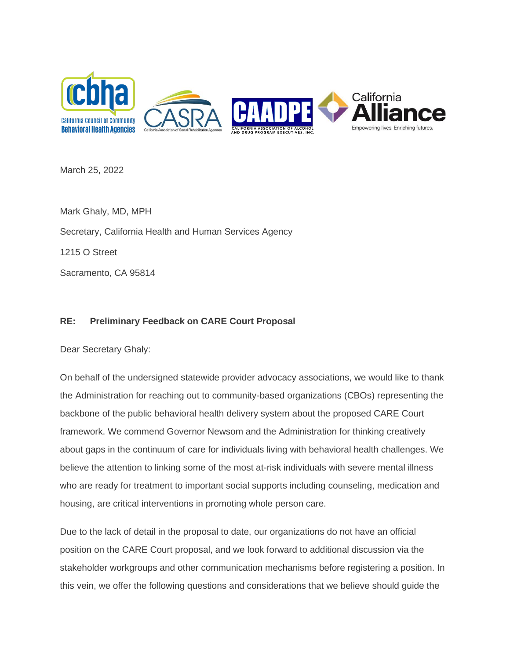

March 25, 2022

Mark Ghaly, MD, MPH Secretary, California Health and Human Services Agency 1215 O Street Sacramento, CA 95814

## **RE: Preliminary Feedback on CARE Court Proposal**

Dear Secretary Ghaly:

On behalf of the undersigned statewide provider advocacy associations, we would like to thank the Administration for reaching out to community-based organizations (CBOs) representing the backbone of the public behavioral health delivery system about the proposed CARE Court framework. We commend Governor Newsom and the Administration for thinking creatively about gaps in the continuum of care for individuals living with behavioral health challenges. We believe the attention to linking some of the most at-risk individuals with severe mental illness who are ready for treatment to important social supports including counseling, medication and housing, are critical interventions in promoting whole person care.

Due to the lack of detail in the proposal to date, our organizations do not have an official position on the CARE Court proposal, and we look forward to additional discussion via the stakeholder workgroups and other communication mechanisms before registering a position. In this vein, we offer the following questions and considerations that we believe should guide the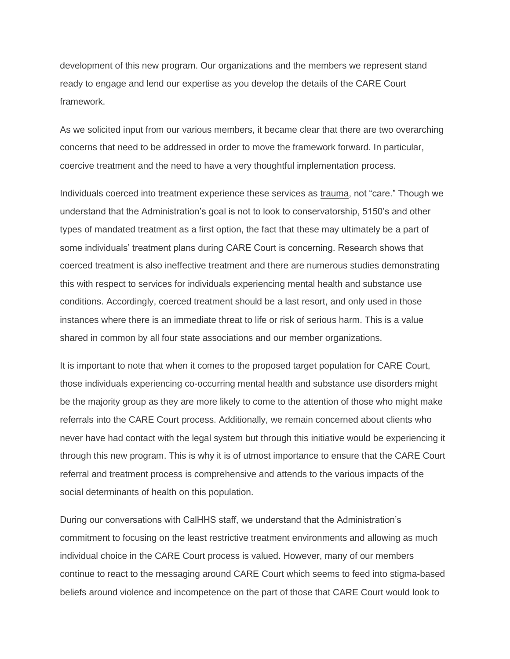development of this new program. Our organizations and the members we represent stand ready to engage and lend our expertise as you develop the details of the CARE Court framework.

As we solicited input from our various members, it became clear that there are two overarching concerns that need to be addressed in order to move the framework forward. In particular, coercive treatment and the need to have a very thoughtful implementation process.

Individuals coerced into treatment experience these services as trauma, not "care." Though we understand that the Administration's goal is not to look to conservatorship, 5150's and other types of mandated treatment as a first option, the fact that these may ultimately be a part of some individuals' treatment plans during CARE Court is concerning. Research shows that coerced treatment is also ineffective treatment and there are numerous studies demonstrating this with respect to services for individuals experiencing mental health and substance use conditions. Accordingly, coerced treatment should be a last resort, and only used in those instances where there is an immediate threat to life or risk of serious harm. This is a value shared in common by all four state associations and our member organizations.

It is important to note that when it comes to the proposed target population for CARE Court, those individuals experiencing co-occurring mental health and substance use disorders might be the majority group as they are more likely to come to the attention of those who might make referrals into the CARE Court process. Additionally, we remain concerned about clients who never have had contact with the legal system but through this initiative would be experiencing it through this new program. This is why it is of utmost importance to ensure that the CARE Court referral and treatment process is comprehensive and attends to the various impacts of the social determinants of health on this population.

During our conversations with CalHHS staff, we understand that the Administration's commitment to focusing on the least restrictive treatment environments and allowing as much individual choice in the CARE Court process is valued. However, many of our members continue to react to the messaging around CARE Court which seems to feed into stigma-based beliefs around violence and incompetence on the part of those that CARE Court would look to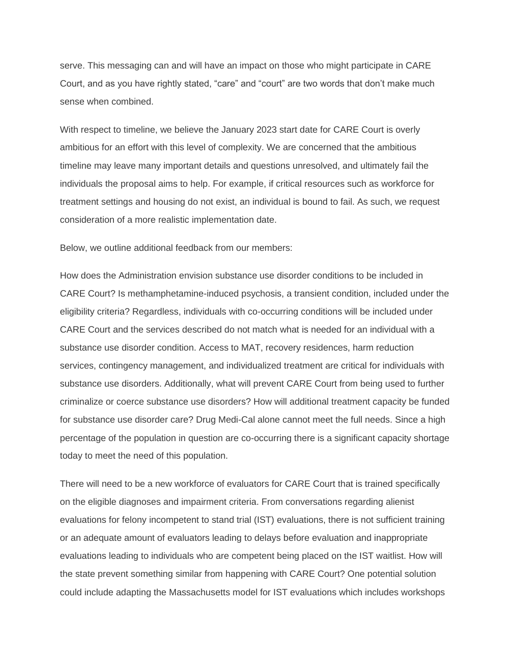serve. This messaging can and will have an impact on those who might participate in CARE Court, and as you have rightly stated, "care" and "court" are two words that don't make much sense when combined.

With respect to timeline, we believe the January 2023 start date for CARE Court is overly ambitious for an effort with this level of complexity. We are concerned that the ambitious timeline may leave many important details and questions unresolved, and ultimately fail the individuals the proposal aims to help. For example, if critical resources such as workforce for treatment settings and housing do not exist, an individual is bound to fail. As such, we request consideration of a more realistic implementation date.

Below, we outline additional feedback from our members:

How does the Administration envision substance use disorder conditions to be included in CARE Court? Is methamphetamine-induced psychosis, a transient condition, included under the eligibility criteria? Regardless, individuals with co-occurring conditions will be included under CARE Court and the services described do not match what is needed for an individual with a substance use disorder condition. Access to MAT, recovery residences, harm reduction services, contingency management, and individualized treatment are critical for individuals with substance use disorders. Additionally, what will prevent CARE Court from being used to further criminalize or coerce substance use disorders? How will additional treatment capacity be funded for substance use disorder care? Drug Medi-Cal alone cannot meet the full needs. Since a high percentage of the population in question are co-occurring there is a significant capacity shortage today to meet the need of this population.

There will need to be a new workforce of evaluators for CARE Court that is trained specifically on the eligible diagnoses and impairment criteria. From conversations regarding alienist evaluations for felony incompetent to stand trial (IST) evaluations, there is not sufficient training or an adequate amount of evaluators leading to delays before evaluation and inappropriate evaluations leading to individuals who are competent being placed on the IST waitlist. How will the state prevent something similar from happening with CARE Court? One potential solution could include adapting the Massachusetts model for IST evaluations which includes workshops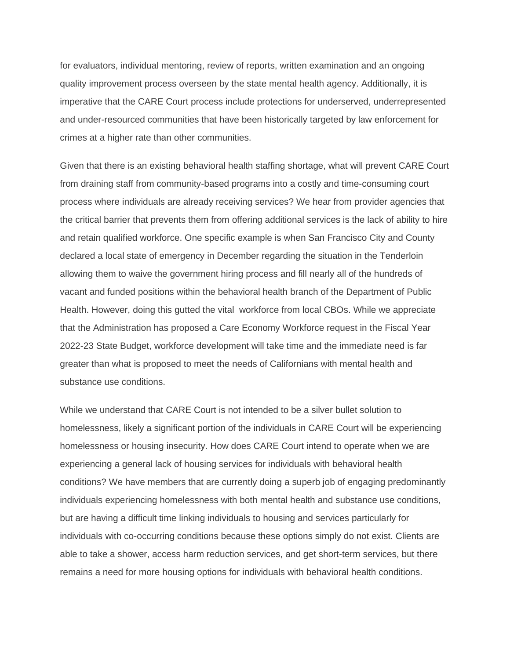for evaluators, individual mentoring, review of reports, written examination and an ongoing quality improvement process overseen by the state mental health agency. Additionally, it is imperative that the CARE Court process include protections for underserved, underrepresented and under-resourced communities that have been historically targeted by law enforcement for crimes at a higher rate than other communities.

Given that there is an existing behavioral health staffing shortage, what will prevent CARE Court from draining staff from community-based programs into a costly and time-consuming court process where individuals are already receiving services? We hear from provider agencies that the critical barrier that prevents them from offering additional services is the lack of ability to hire and retain qualified workforce. One specific example is when San Francisco City and County declared a local state of emergency in December regarding the situation in the Tenderloin allowing them to waive the government hiring process and fill nearly all of the hundreds of vacant and funded positions within the behavioral health branch of the Department of Public Health. However, doing this gutted the vital workforce from local CBOs. While we appreciate that the Administration has proposed a Care Economy Workforce request in the Fiscal Year 2022-23 State Budget, workforce development will take time and the immediate need is far greater than what is proposed to meet the needs of Californians with mental health and substance use conditions.

While we understand that CARE Court is not intended to be a silver bullet solution to homelessness, likely a significant portion of the individuals in CARE Court will be experiencing homelessness or housing insecurity. How does CARE Court intend to operate when we are experiencing a general lack of housing services for individuals with behavioral health conditions? We have members that are currently doing a superb job of engaging predominantly individuals experiencing homelessness with both mental health and substance use conditions, but are having a difficult time linking individuals to housing and services particularly for individuals with co-occurring conditions because these options simply do not exist. Clients are able to take a shower, access harm reduction services, and get short-term services, but there remains a need for more housing options for individuals with behavioral health conditions.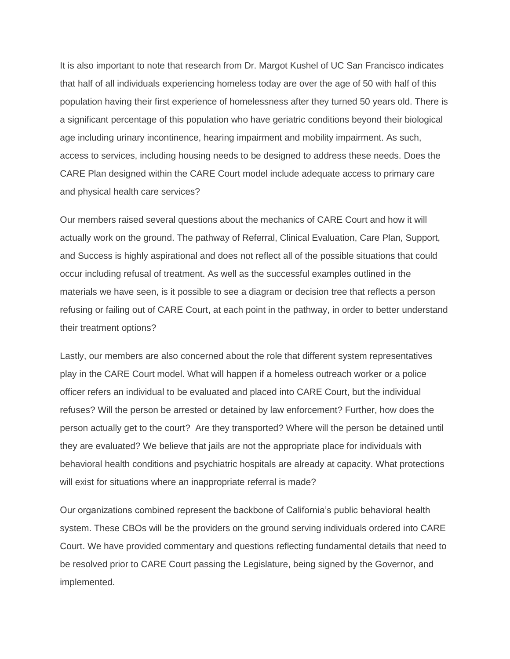It is also important to note that research from Dr. Margot Kushel of UC San Francisco indicates that half of all individuals experiencing homeless today are over the age of 50 with half of this population having their first experience of homelessness after they turned 50 years old. There is a significant percentage of this population who have geriatric conditions beyond their biological age including urinary incontinence, hearing impairment and mobility impairment. As such, access to services, including housing needs to be designed to address these needs. Does the CARE Plan designed within the CARE Court model include adequate access to primary care and physical health care services?

Our members raised several questions about the mechanics of CARE Court and how it will actually work on the ground. The pathway of Referral, Clinical Evaluation, Care Plan, Support, and Success is highly aspirational and does not reflect all of the possible situations that could occur including refusal of treatment. As well as the successful examples outlined in the materials we have seen, is it possible to see a diagram or decision tree that reflects a person refusing or failing out of CARE Court, at each point in the pathway, in order to better understand their treatment options?

Lastly, our members are also concerned about the role that different system representatives play in the CARE Court model. What will happen if a homeless outreach worker or a police officer refers an individual to be evaluated and placed into CARE Court, but the individual refuses? Will the person be arrested or detained by law enforcement? Further, how does the person actually get to the court? Are they transported? Where will the person be detained until they are evaluated? We believe that jails are not the appropriate place for individuals with behavioral health conditions and psychiatric hospitals are already at capacity. What protections will exist for situations where an inappropriate referral is made?

Our organizations combined represent the backbone of California's public behavioral health system. These CBOs will be the providers on the ground serving individuals ordered into CARE Court. We have provided commentary and questions reflecting fundamental details that need to be resolved prior to CARE Court passing the Legislature, being signed by the Governor, and implemented.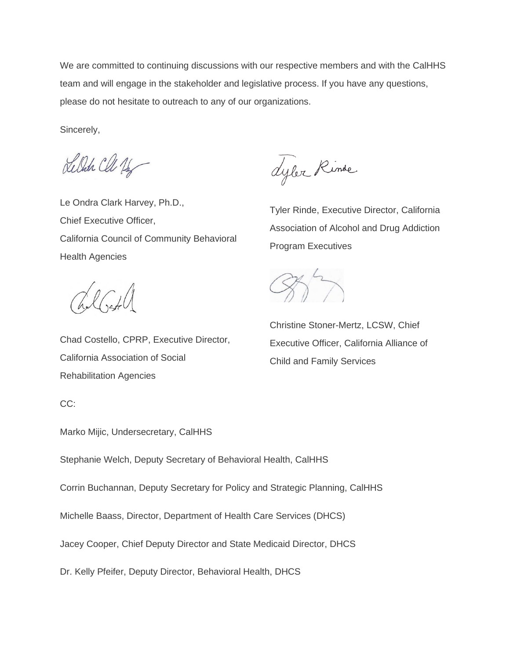We are committed to continuing discussions with our respective members and with the CalHHS team and will engage in the stakeholder and legislative process. If you have any questions, please do not hesitate to outreach to any of our organizations.

Sincerely,

Lelah Cle 16

Le Ondra Clark Harvey, Ph.D., Chief Executive Officer, California Council of Community Behavioral Health Agencies

 $7161$ 

Chad Costello, CPRP, Executive Director, California Association of Social Rehabilitation Agencies

Lyler Rinde

Tyler Rinde, Executive Director, California Association of Alcohol and Drug Addiction Program Executives

 $\sqrt{2}$ 

Christine Stoner-Mertz, LCSW, Chief Executive Officer, California Alliance of Child and Family Services

CC:

Marko Mijic, Undersecretary, CalHHS

Stephanie Welch, Deputy Secretary of Behavioral Health, CalHHS

Corrin Buchannan, Deputy Secretary for Policy and Strategic Planning, CalHHS

Michelle Baass, Director, Department of Health Care Services (DHCS)

Jacey Cooper, Chief Deputy Director and State Medicaid Director, DHCS

Dr. Kelly Pfeifer, Deputy Director, Behavioral Health, DHCS